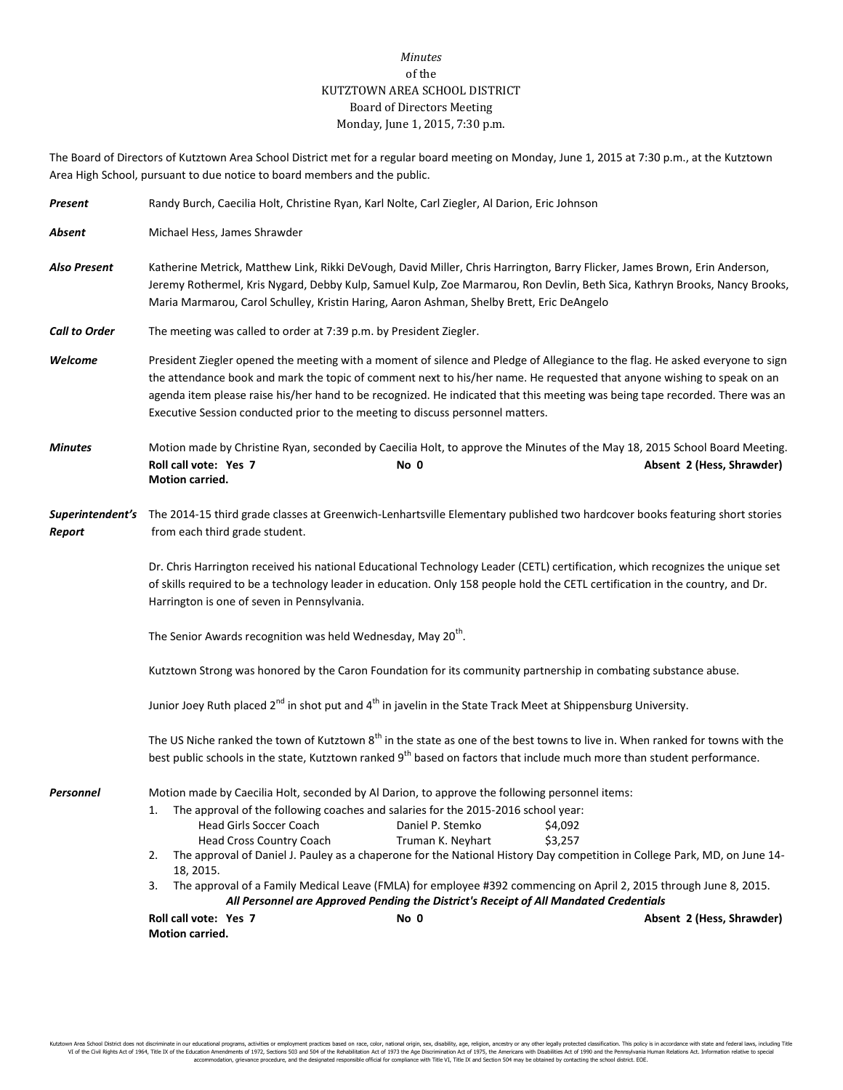## *Minutes* of the KUTZTOWN AREA SCHOOL DISTRICT Board of Directors Meeting Monday, June 1, 2015, 7:30 p.m.

The Board of Directors of Kutztown Area School District met for a regular board meeting on Monday, June 1, 2015 at 7:30 p.m., at the Kutztown Area High School, pursuant to due notice to board members and the public.

| Michael Hess, James Shrawder                                                                                                                                                                                                                                                                                                                                                                                                                                                                                                                                                                                              |                           |  |                                                                                                                             |                                                                                                                                                                                                                                                                                                                                                                                                                                                                                                                                                                                             |
|---------------------------------------------------------------------------------------------------------------------------------------------------------------------------------------------------------------------------------------------------------------------------------------------------------------------------------------------------------------------------------------------------------------------------------------------------------------------------------------------------------------------------------------------------------------------------------------------------------------------------|---------------------------|--|-----------------------------------------------------------------------------------------------------------------------------|---------------------------------------------------------------------------------------------------------------------------------------------------------------------------------------------------------------------------------------------------------------------------------------------------------------------------------------------------------------------------------------------------------------------------------------------------------------------------------------------------------------------------------------------------------------------------------------------|
|                                                                                                                                                                                                                                                                                                                                                                                                                                                                                                                                                                                                                           |                           |  |                                                                                                                             |                                                                                                                                                                                                                                                                                                                                                                                                                                                                                                                                                                                             |
| Katherine Metrick, Matthew Link, Rikki DeVough, David Miller, Chris Harrington, Barry Flicker, James Brown, Erin Anderson,<br>Jeremy Rothermel, Kris Nygard, Debby Kulp, Samuel Kulp, Zoe Marmarou, Ron Devlin, Beth Sica, Kathryn Brooks, Nancy Brooks,<br>Maria Marmarou, Carol Schulley, Kristin Haring, Aaron Ashman, Shelby Brett, Eric DeAngelo                                                                                                                                                                                                                                                                     |                           |  |                                                                                                                             |                                                                                                                                                                                                                                                                                                                                                                                                                                                                                                                                                                                             |
| The meeting was called to order at 7:39 p.m. by President Ziegler.                                                                                                                                                                                                                                                                                                                                                                                                                                                                                                                                                        |                           |  |                                                                                                                             |                                                                                                                                                                                                                                                                                                                                                                                                                                                                                                                                                                                             |
| President Ziegler opened the meeting with a moment of silence and Pledge of Allegiance to the flag. He asked everyone to sign<br>the attendance book and mark the topic of comment next to his/her name. He requested that anyone wishing to speak on an<br>agenda item please raise his/her hand to be recognized. He indicated that this meeting was being tape recorded. There was an<br>Executive Session conducted prior to the meeting to discuss personnel matters.                                                                                                                                                |                           |  |                                                                                                                             |                                                                                                                                                                                                                                                                                                                                                                                                                                                                                                                                                                                             |
| Roll call vote: Yes 7<br>No 0<br>Motion carried.                                                                                                                                                                                                                                                                                                                                                                                                                                                                                                                                                                          | Absent 2 (Hess, Shrawder) |  |                                                                                                                             |                                                                                                                                                                                                                                                                                                                                                                                                                                                                                                                                                                                             |
| Superintendent's The 2014-15 third grade classes at Greenwich-Lenhartsville Elementary published two hardcover books featuring short stories<br>from each third grade student.                                                                                                                                                                                                                                                                                                                                                                                                                                            |                           |  |                                                                                                                             |                                                                                                                                                                                                                                                                                                                                                                                                                                                                                                                                                                                             |
| Dr. Chris Harrington received his national Educational Technology Leader (CETL) certification, which recognizes the unique set<br>of skills required to be a technology leader in education. Only 158 people hold the CETL certification in the country, and Dr.<br>Harrington is one of seven in Pennsylvania.                                                                                                                                                                                                                                                                                                           |                           |  |                                                                                                                             |                                                                                                                                                                                                                                                                                                                                                                                                                                                                                                                                                                                             |
| The Senior Awards recognition was held Wednesday, May 20 <sup>th</sup> .<br>Kutztown Strong was honored by the Caron Foundation for its community partnership in combating substance abuse.<br>Junior Joey Ruth placed 2 <sup>nd</sup> in shot put and 4 <sup>th</sup> in javelin in the State Track Meet at Shippensburg University.<br>The US Niche ranked the town of Kutztown 8 <sup>th</sup> in the state as one of the best towns to live in. When ranked for towns with the<br>best public schools in the state, Kutztown ranked 9 <sup>th</sup> based on factors that include much more than student performance. |                           |  |                                                                                                                             |                                                                                                                                                                                                                                                                                                                                                                                                                                                                                                                                                                                             |
|                                                                                                                                                                                                                                                                                                                                                                                                                                                                                                                                                                                                                           |                           |  | <b>Head Girls Soccer Coach</b><br><b>Head Cross Country Coach</b><br>2.<br>18, 2015.<br>3.<br>Roll call vote: Yes 7<br>No 0 | \$4,092<br>\$3,257<br>The approval of Daniel J. Pauley as a chaperone for the National History Day competition in College Park, MD, on June 14-<br>Absent 2 (Hess, Shrawder)                                                                                                                                                                                                                                                                                                                                                                                                                |
|                                                                                                                                                                                                                                                                                                                                                                                                                                                                                                                                                                                                                           |                           |  |                                                                                                                             | Motion made by Christine Ryan, seconded by Caecilia Holt, to approve the Minutes of the May 18, 2015 School Board Meeting.<br>Motion made by Caecilia Holt, seconded by Al Darion, to approve the following personnel items:<br>The approval of the following coaches and salaries for the 2015-2016 school year:<br>Daniel P. Stemko<br>Truman K. Neyhart<br>The approval of a Family Medical Leave (FMLA) for employee #392 commencing on April 2, 2015 through June 8, 2015.<br>All Personnel are Approved Pending the District's Receipt of All Mandated Credentials<br>Motion carried. |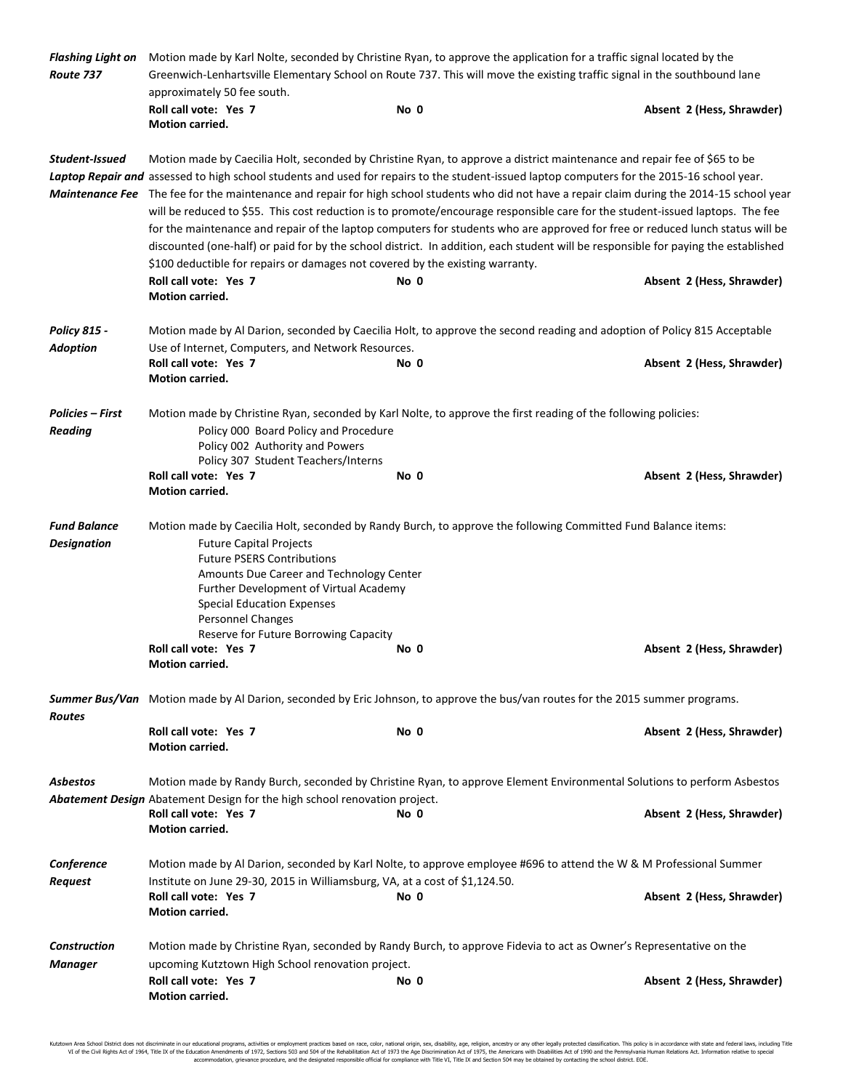| Route 737                                 | Flashing Light on Motion made by Karl Nolte, seconded by Christine Ryan, to approve the application for a traffic signal located by the<br>Greenwich-Lenhartsville Elementary School on Route 737. This will move the existing traffic signal in the southbound lane                                                                                                                                                                                                                                                                                                                                                                                                                                                                                                                                                                                                                                                                                                                                |      |                           |  |
|-------------------------------------------|-----------------------------------------------------------------------------------------------------------------------------------------------------------------------------------------------------------------------------------------------------------------------------------------------------------------------------------------------------------------------------------------------------------------------------------------------------------------------------------------------------------------------------------------------------------------------------------------------------------------------------------------------------------------------------------------------------------------------------------------------------------------------------------------------------------------------------------------------------------------------------------------------------------------------------------------------------------------------------------------------------|------|---------------------------|--|
|                                           | approximately 50 fee south.                                                                                                                                                                                                                                                                                                                                                                                                                                                                                                                                                                                                                                                                                                                                                                                                                                                                                                                                                                         |      |                           |  |
|                                           | Roll call vote: Yes 7<br>Motion carried.                                                                                                                                                                                                                                                                                                                                                                                                                                                                                                                                                                                                                                                                                                                                                                                                                                                                                                                                                            | No 0 | Absent 2 (Hess, Shrawder) |  |
| Student-Issued                            | Motion made by Caecilia Holt, seconded by Christine Ryan, to approve a district maintenance and repair fee of \$65 to be<br>Laptop Repair and assessed to high school students and used for repairs to the student-issued laptop computers for the 2015-16 school year.<br>Maintenance Fee The fee for the maintenance and repair for high school students who did not have a repair claim during the 2014-15 school year<br>will be reduced to \$55. This cost reduction is to promote/encourage responsible care for the student-issued laptops. The fee<br>for the maintenance and repair of the laptop computers for students who are approved for free or reduced lunch status will be<br>discounted (one-half) or paid for by the school district. In addition, each student will be responsible for paying the established<br>\$100 deductible for repairs or damages not covered by the existing warranty.<br>Roll call vote: Yes 7<br>No 0<br>Absent 2 (Hess, Shrawder)<br>Motion carried. |      |                           |  |
| <b>Policy 815 -</b>                       | Motion made by Al Darion, seconded by Caecilia Holt, to approve the second reading and adoption of Policy 815 Acceptable                                                                                                                                                                                                                                                                                                                                                                                                                                                                                                                                                                                                                                                                                                                                                                                                                                                                            |      |                           |  |
| <b>Adoption</b>                           | Use of Internet, Computers, and Network Resources.                                                                                                                                                                                                                                                                                                                                                                                                                                                                                                                                                                                                                                                                                                                                                                                                                                                                                                                                                  |      |                           |  |
|                                           | Roll call vote: Yes 7<br><b>Motion carried.</b>                                                                                                                                                                                                                                                                                                                                                                                                                                                                                                                                                                                                                                                                                                                                                                                                                                                                                                                                                     | No 0 | Absent 2 (Hess, Shrawder) |  |
| Policies – First<br><b>Reading</b>        | Motion made by Christine Ryan, seconded by Karl Nolte, to approve the first reading of the following policies:<br>Policy 000 Board Policy and Procedure<br>Policy 002 Authority and Powers<br>Policy 307 Student Teachers/Interns                                                                                                                                                                                                                                                                                                                                                                                                                                                                                                                                                                                                                                                                                                                                                                   |      |                           |  |
|                                           | Roll call vote: Yes 7<br>Motion carried.                                                                                                                                                                                                                                                                                                                                                                                                                                                                                                                                                                                                                                                                                                                                                                                                                                                                                                                                                            | No 0 | Absent 2 (Hess, Shrawder) |  |
| <b>Fund Balance</b><br><b>Designation</b> | Motion made by Caecilia Holt, seconded by Randy Burch, to approve the following Committed Fund Balance items:<br><b>Future Capital Projects</b><br><b>Future PSERS Contributions</b><br>Amounts Due Career and Technology Center<br>Further Development of Virtual Academy<br><b>Special Education Expenses</b><br>Personnel Changes<br>Reserve for Future Borrowing Capacity                                                                                                                                                                                                                                                                                                                                                                                                                                                                                                                                                                                                                       |      |                           |  |
|                                           | Roll call vote: Yes 7<br>Motion carried.                                                                                                                                                                                                                                                                                                                                                                                                                                                                                                                                                                                                                                                                                                                                                                                                                                                                                                                                                            | No 0 | Absent 2 (Hess, Shrawder) |  |
| <b>Routes</b>                             | Summer Bus/Van Motion made by Al Darion, seconded by Eric Johnson, to approve the bus/van routes for the 2015 summer programs.                                                                                                                                                                                                                                                                                                                                                                                                                                                                                                                                                                                                                                                                                                                                                                                                                                                                      |      |                           |  |
|                                           | Roll call vote: Yes 7<br><b>Motion carried.</b>                                                                                                                                                                                                                                                                                                                                                                                                                                                                                                                                                                                                                                                                                                                                                                                                                                                                                                                                                     | No 0 | Absent 2 (Hess, Shrawder) |  |
| <b>Asbestos</b>                           | Motion made by Randy Burch, seconded by Christine Ryan, to approve Element Environmental Solutions to perform Asbestos<br>Abatement Design Abatement Design for the high school renovation project.                                                                                                                                                                                                                                                                                                                                                                                                                                                                                                                                                                                                                                                                                                                                                                                                 |      |                           |  |
|                                           | Roll call vote: Yes 7<br><b>Motion carried.</b>                                                                                                                                                                                                                                                                                                                                                                                                                                                                                                                                                                                                                                                                                                                                                                                                                                                                                                                                                     | No 0 | Absent 2 (Hess, Shrawder) |  |
| Conference<br>Request                     | Motion made by Al Darion, seconded by Karl Nolte, to approve employee #696 to attend the W & M Professional Summer<br>Institute on June 29-30, 2015 in Williamsburg, VA, at a cost of \$1,124.50.                                                                                                                                                                                                                                                                                                                                                                                                                                                                                                                                                                                                                                                                                                                                                                                                   |      |                           |  |
|                                           | Roll call vote: Yes 7<br><b>Motion carried.</b>                                                                                                                                                                                                                                                                                                                                                                                                                                                                                                                                                                                                                                                                                                                                                                                                                                                                                                                                                     | No 0 | Absent 2 (Hess, Shrawder) |  |
| <b>Construction</b><br><b>Manager</b>     | Motion made by Christine Ryan, seconded by Randy Burch, to approve Fidevia to act as Owner's Representative on the<br>upcoming Kutztown High School renovation project.                                                                                                                                                                                                                                                                                                                                                                                                                                                                                                                                                                                                                                                                                                                                                                                                                             |      |                           |  |
|                                           | Roll call vote: Yes 7<br><b>Motion carried.</b>                                                                                                                                                                                                                                                                                                                                                                                                                                                                                                                                                                                                                                                                                                                                                                                                                                                                                                                                                     | No 0 | Absent 2 (Hess, Shrawder) |  |

Kutztown Area School District does not discriminate in our educational programs, activities or employment practices based on race, color, national origin, sex, disability, age, religion, ancestry or any other legally prot